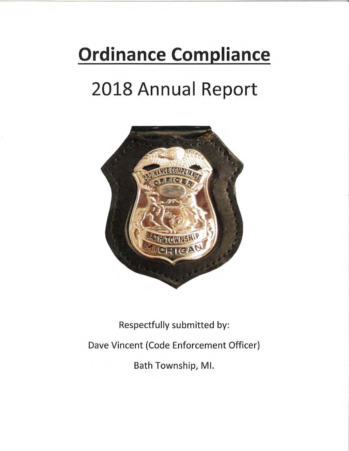# **Ordinance Compliance**

# 2018 Annual Report



# Respectfully submitted by: Dave Vincent (Code Enforcement Officer) Bath Township, MI.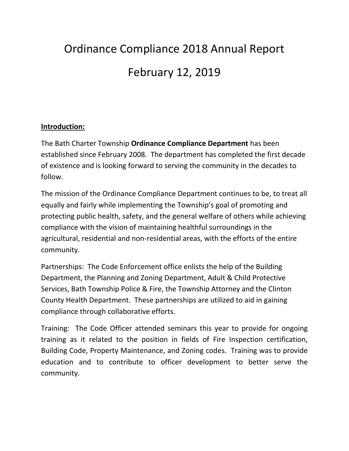# Ordinance Compliance 2018 Annual Report February 12, 2019

#### **Introduction:**

The Bath Charter Township **Ordinance Compliance Department** has been established since February 2008. The department has completed the first decade of existence and is looking forward to serving the community in the decades to follow.

The mission of the Ordinance Compliance Department continues to be, to treat all equally and fairly while implementing the Township's goal of promoting and protecting public health, safety, and the general welfare of others while achieving compliance with the vision of maintaining healthful surroundings in the agricultural, residential and non-residential areas, with the efforts of the entire community.

Partnerships: The Code Enforcement office enlists the help of the Building Department, the Planning and Zoning Department, Adult & Child Protective Services, Bath Township Police & Fire, the Township Attorney and the Clinton County Health Department. These partnerships are utilized to aid in gaining compliance through collaborative efforts.

Training: The Code Officer attended seminars this year to provide for ongoing training as it related to the position in fields of Fire Inspection certification, Building Code, Property Maintenance, and Zoning codes. Training was to provide education and to contribute to officer development to better serve the community.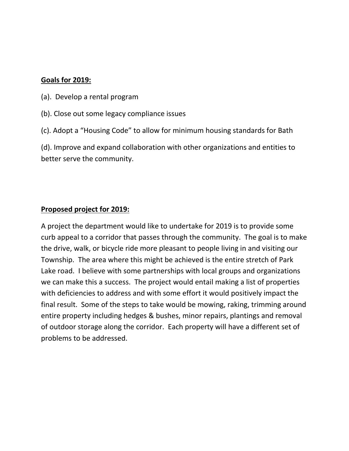#### **Goals for 2019:**

- (a). Develop a rental program
- (b). Close out some legacy compliance issues
- (c). Adopt a "Housing Code" to allow for minimum housing standards for Bath

(d). Improve and expand collaboration with other organizations and entities to better serve the community.

#### **Proposed project for 2019:**

A project the department would like to undertake for 2019 is to provide some curb appeal to a corridor that passes through the community. The goal is to make the drive, walk, or bicycle ride more pleasant to people living in and visiting our Township. The area where this might be achieved is the entire stretch of Park Lake road. I believe with some partnerships with local groups and organizations we can make this a success. The project would entail making a list of properties with deficiencies to address and with some effort it would positively impact the final result. Some of the steps to take would be mowing, raking, trimming around entire property including hedges & bushes, minor repairs, plantings and removal of outdoor storage along the corridor. Each property will have a different set of problems to be addressed.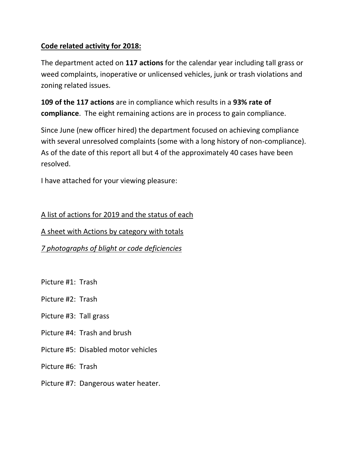### **Code related activity for 2018:**

The department acted on **117 actions** for the calendar year including tall grass or weed complaints, inoperative or unlicensed vehicles, junk or trash violations and zoning related issues.

**109 of the 117 actions** are in compliance which results in a **93% rate of compliance**. The eight remaining actions are in process to gain compliance.

Since June (new officer hired) the department focused on achieving compliance with several unresolved complaints (some with a long history of non-compliance). As of the date of this report all but 4 of the approximately 40 cases have been resolved.

I have attached for your viewing pleasure:

A list of actions for 2019 and the status of each

A sheet with Actions by category with totals

*7 photographs of blight or code deficiencies* 

- Picture #1: Trash
- Picture #2: Trash
- Picture #3: Tall grass
- Picture #4: Trash and brush
- Picture #5: Disabled motor vehicles

Picture #6: Trash

Picture #7: Dangerous water heater.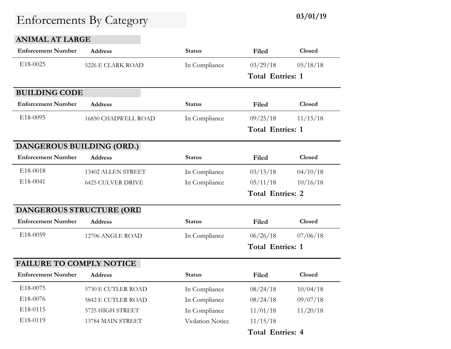### **ANIMAL AT LARGE**

| <b>Enforcement Number</b>       | <b>Address</b>           | <b>Status</b>    | Filed                   | Closed        |
|---------------------------------|--------------------------|------------------|-------------------------|---------------|
| E18-0025                        | 5226 E CLARK ROAD        | In Compliance    | 03/29/18                | 05/18/18      |
|                                 |                          |                  | <b>Total Entries: 1</b> |               |
| <b>BUILDING CODE</b>            |                          |                  |                         |               |
| <b>Enforcement Number</b>       | <b>Address</b>           | <b>Status</b>    | Filed                   | Closed        |
| E18-0095                        | 16850 CHADWELL ROAD      | In Compliance    | 09/25/18                | 11/15/18      |
|                                 |                          |                  | <b>Total Entries: 1</b> |               |
| DANGEROUS BUILDING (ORD.)       |                          |                  |                         |               |
| <b>Enforcement Number</b>       | <b>Address</b>           | <b>Status</b>    | Filed                   | Closed        |
| E18-0018                        | 13402 ALLEN STREET       | In Compliance    | 03/15/18                | 04/10/18      |
| E18-0041                        | <b>6425 CULVER DRIVE</b> | In Compliance    | 05/11/18                | 10/16/18      |
|                                 |                          |                  | <b>Total Entries: 2</b> |               |
| <b>DANGEROUS STRUCTURE (ORD</b> |                          |                  |                         |               |
| <b>Enforcement Number</b>       | <b>Address</b>           | Status           | Filed                   | <b>Closed</b> |
| E18-0059                        | 12706 ANGLE ROAD         | In Compliance    | 06/26/18                | 07/06/18      |
|                                 |                          |                  | <b>Total Entries: 1</b> |               |
| <b>FAILURE TO COMPLY NOTICE</b> |                          |                  |                         |               |
| <b>Enforcement Number</b>       | <b>Address</b>           | <b>Status</b>    | Filed                   | Closed        |
| E18-0075                        | 5730 E CUTLER ROAD       | In Compliance    | 08/24/18                | 10/04/18      |
| E18-0076                        | 5842 E CUTLER ROAD       | In Compliance    | 08/24/18                | 09/07/18      |
| E18-0115                        | 5725 HIGH STREET         | In Compliance    | 11/01/18                | 11/20/18      |
| E18-0119                        | 13784 MAIN STREET        | Violation Notice | 11/15/18                |               |
|                                 |                          |                  | <b>Total Entries: 4</b> |               |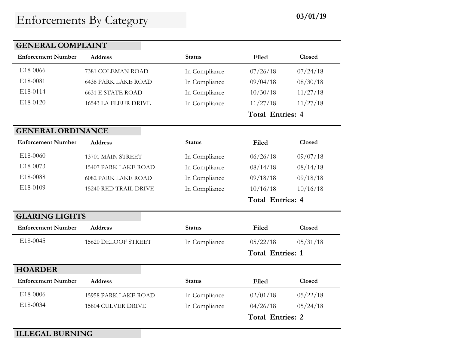| <b>GENERAL COMPLAINT</b>  |                            |               |                         |               |
|---------------------------|----------------------------|---------------|-------------------------|---------------|
| <b>Enforcement Number</b> | <b>Address</b>             | <b>Status</b> | Filed                   | Closed        |
| E18-0066                  | 7381 COLEMAN ROAD          | In Compliance | 07/26/18                | 07/24/18      |
| E18-0081                  | <b>6438 PARK LAKE ROAD</b> | In Compliance | 09/04/18                | 08/30/18      |
| E18-0114                  | <b>6631 E STATE ROAD</b>   | In Compliance | 10/30/18                | 11/27/18      |
| E18-0120                  | 16543 LA FLEUR DRIVE       | In Compliance | 11/27/18                | 11/27/18      |
|                           |                            |               | <b>Total Entries: 4</b> |               |
| <b>GENERAL ORDINANCE</b>  |                            |               |                         |               |
| <b>Enforcement Number</b> | <b>Address</b>             | <b>Status</b> | Filed                   | Closed        |
| E18-0060                  | 13701 MAIN STREET          | In Compliance | 06/26/18                | 09/07/18      |
| E18-0073                  | 15407 PARK LAKE ROAD       | In Compliance | 08/14/18                | 08/14/18      |
| E18-0088                  | <b>6082 PARK LAKE ROAD</b> | In Compliance | 09/18/18                | 09/18/18      |
| E18-0109                  | 15240 RED TRAIL DRIVE      | In Compliance | 10/16/18                | 10/16/18      |
|                           |                            |               | <b>Total Entries: 4</b> |               |
| <b>GLARING LIGHTS</b>     |                            |               |                         |               |
| <b>Enforcement Number</b> | <b>Address</b>             | <b>Status</b> | Filed                   | <b>Closed</b> |
| E18-0045                  | 15620 DELOOF STREET        | In Compliance | 05/22/18                | 05/31/18      |
|                           |                            |               | <b>Total Entries: 1</b> |               |
| <b>HOARDER</b>            |                            |               |                         |               |
| <b>Enforcement Number</b> | <b>Address</b>             | <b>Status</b> | Filed                   | Closed        |
| E18-0006                  | 15958 PARK LAKE ROAD       | In Compliance | 02/01/18                | 05/22/18      |
| E18-0034                  | 15804 CULVER DRIVE         | In Compliance | 04/26/18                | 05/24/18      |
|                           |                            |               | <b>Total Entries: 2</b> |               |

**ILLEGAL BURNING**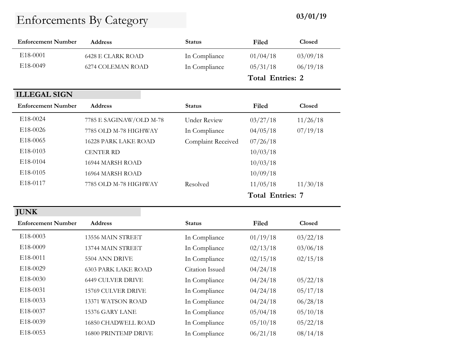| <b>Enforcement Number</b> | <b>Address</b>           | <b>Status</b> | Filed                   | Closed   |  |
|---------------------------|--------------------------|---------------|-------------------------|----------|--|
| E <sub>18</sub> -0001     | <b>6428 E CLARK ROAD</b> | In Compliance | 01/04/18                | 03/09/18 |  |
| E18-0049                  | 6274 COLEMAN ROAD        | In Compliance | 05/31/18                | 06/19/18 |  |
|                           |                          |               | <b>Total Entries: 2</b> |          |  |
| <b>ILLEGAL SIGN</b>       |                          |               |                         |          |  |
| <b>Enforcement Number</b> | <b>Address</b>           | <b>Status</b> | Filed                   | Closed   |  |
| E <sub>18</sub> -0024     | 7785 E SAGINAW/OLD M-78  | Under Review  | 03/27/18                | 11/26/18 |  |

|                       |                         |                           | <b>Total Entries: 7</b> |          |
|-----------------------|-------------------------|---------------------------|-------------------------|----------|
| E <sub>18</sub> -0117 | 7785 OLD M-78 HIGHWAY   | Resolved                  | 11/05/18                | 11/30/18 |
| E18-0105              | 16964 MARSH ROAD        |                           | 10/09/18                |          |
| E <sub>18</sub> -0104 | 16944 MARSH ROAD        |                           | 10/03/18                |          |
| E <sub>18</sub> -0103 | <b>CENTER RD</b>        |                           | 10/03/18                |          |
| E18-0065              | 16228 PARK LAKE ROAD    | <b>Complaint Received</b> | 07/26/18                |          |
| E <sub>18</sub> -0026 | 7785 OLD M-78 HIGHWAY   | In Compliance             | 04/05/18                | 07/19/18 |
| E18-0024              | 7785 E SAGINAW/OLD M-78 | Under Review              | 03/27/18                | 11/26/18 |

| <b>JUNK</b>               |                            |                 |          |               |  |
|---------------------------|----------------------------|-----------------|----------|---------------|--|
| <b>Enforcement Number</b> | <b>Address</b>             | <b>Status</b>   | Filed    | <b>Closed</b> |  |
| E18-0003                  | 13556 MAIN STREET          | In Compliance   | 01/19/18 | 03/22/18      |  |
| E <sub>18</sub> -0009     | 13744 MAIN STREET          | In Compliance   | 02/13/18 | 03/06/18      |  |
| E18-0011                  | 5504 ANN DRIVE             | In Compliance   | 02/15/18 | 02/15/18      |  |
| E18-0029                  | <b>6303 PARK LAKE ROAD</b> | Citation Issued | 04/24/18 |               |  |
| E <sub>18</sub> -0030     | <b>6449 CULVER DRIVE</b>   | In Compliance   | 04/24/18 | 05/22/18      |  |
| E18-0031                  | <b>15769 CULVER DRIVE</b>  | In Compliance   | 04/24/18 | 05/17/18      |  |
| E18-0033                  | 13371 WATSON ROAD          | In Compliance   | 04/24/18 | 06/28/18      |  |
| E18-0037                  | 15376 GARY LANE            | In Compliance   | 05/04/18 | 05/10/18      |  |
| E18-0039                  | <b>16850 CHADWELL ROAD</b> | In Compliance   | 05/10/18 | 05/22/18      |  |
| E18-0053                  | 16800 PRINTEMP DRIVE       | In Compliance   | 06/21/18 | 08/14/18      |  |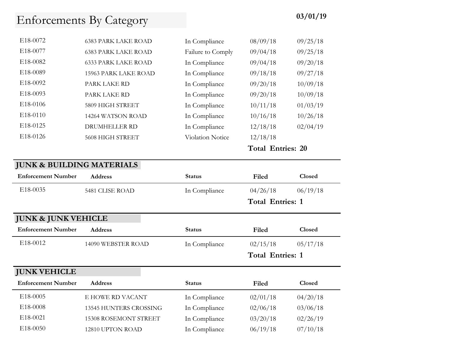|          |                             |                         | <b>Total Entries: 20</b> |          |
|----------|-----------------------------|-------------------------|--------------------------|----------|
| E18-0126 | 5608 HIGH STREET            | <b>Violation Notice</b> | 12/18/18                 |          |
| E18-0125 | <b>DRUMHELLER RD</b>        | In Compliance           | 12/18/18                 | 02/04/19 |
| E18-0110 | 14264 WATSON ROAD           | In Compliance           | 10/16/18                 | 10/26/18 |
| E18-0106 | 5809 HIGH STREET            | In Compliance           | 10/11/18                 | 01/03/19 |
| E18-0093 | PARK LAKE RD                | In Compliance           | 09/20/18                 | 10/09/18 |
| E18-0092 | PARK LAKE RD                | In Compliance           | 09/20/18                 | 10/09/18 |
| E18-0089 | <b>15963 PARK LAKE ROAD</b> | In Compliance           | 09/18/18                 | 09/27/18 |
| E18-0082 | <b>6333 PARK LAKE ROAD</b>  | In Compliance           | 09/04/18                 | 09/20/18 |
| E18-0077 | <b>6383 PARK LAKE ROAD</b>  | Failure to Comply       | 09/04/18                 | 09/25/18 |
| E18-0072 | <b>6383 PARK LAKE ROAD</b>  | In Compliance           | 08/09/18                 | 09/25/18 |

### **JUNK & BUILDING MATERIALS**

| <b>Enforcement Number</b>      | <b>Address</b>         | <b>Status</b> | Filed                   | Closed        |
|--------------------------------|------------------------|---------------|-------------------------|---------------|
| E18-0035                       | 5481 CLISE ROAD        | In Compliance | 04/26/18                | 06/19/18      |
|                                |                        |               | <b>Total Entries: 1</b> |               |
| <b>JUNK &amp; JUNK VEHICLE</b> |                        |               |                         |               |
| <b>Enforcement Number</b>      | <b>Address</b>         | <b>Status</b> | Filed                   | <b>Closed</b> |
| E18-0012                       | 14090 WEBSTER ROAD     | In Compliance | 02/15/18                | 05/17/18      |
|                                |                        |               |                         |               |
|                                |                        |               | <b>Total Entries: 1</b> |               |
| <b>JUNK VEHICLE</b>            |                        |               |                         |               |
| <b>Enforcement Number</b>      | <b>Address</b>         | <b>Status</b> | Filed                   | Closed        |
| E18-0005                       | E HOWE RD VACANT       | In Compliance | 02/01/18                | 04/20/18      |
| E18-0008                       | 13545 HUNTERS CROSSING | In Compliance | 02/06/18                | 03/06/18      |
| E18-0021                       | 15308 ROSEMONT STREET  | In Compliance | 03/20/18                | 02/26/19      |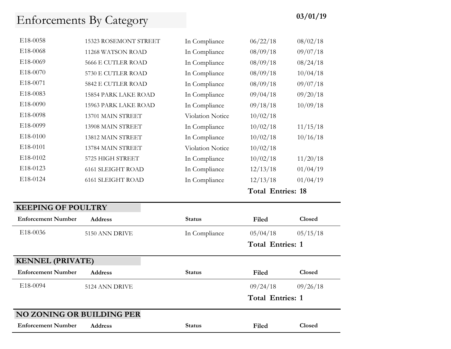| E <sub>18</sub> -0058 | 15323 ROSEMONT STREET       | In Compliance           | 06/22/18                 | 08/02/18 |
|-----------------------|-----------------------------|-------------------------|--------------------------|----------|
| E18-0068              | 11268 WATSON ROAD           | In Compliance           | 08/09/18                 | 09/07/18 |
| E18-0069              | 5666 E CUTLER ROAD          | In Compliance           | 08/09/18                 | 08/24/18 |
| E18-0070              | 5730 E CUTLER ROAD          | In Compliance           | 08/09/18                 | 10/04/18 |
| E18-0071              | 5842 E CUTLER ROAD          | In Compliance           | 08/09/18                 | 09/07/18 |
| E <sub>18</sub> -0083 | <b>15854 PARK LAKE ROAD</b> | In Compliance           | 09/04/18                 | 09/20/18 |
| E18-0090              | <b>15963 PARK LAKE ROAD</b> | In Compliance           | 09/18/18                 | 10/09/18 |
| E18-0098              | 13701 MAIN STREET           | <b>Violation Notice</b> | 10/02/18                 |          |
| E18-0099              | 13908 MAIN STREET           | In Compliance           | 10/02/18                 | 11/15/18 |
| E18-0100              | 13812 MAIN STREET           | In Compliance           | 10/02/18                 | 10/16/18 |
| E18-0101              | 13784 MAIN STREET           | <b>Violation Notice</b> | 10/02/18                 |          |
| E18-0102              | 5725 HIGH STREET            | In Compliance           | 10/02/18                 | 11/20/18 |
| E18-0123              | <b>6161 SLEIGHT ROAD</b>    | In Compliance           | 12/13/18                 | 01/04/19 |
| E18-0124              | <b>6161 SLEIGHT ROAD</b>    | In Compliance           | 12/13/18                 | 01/04/19 |
|                       |                             |                         | <b>Total Entries: 18</b> |          |

### **KEEPING OF POULTRY**

| <b>Enforcement Number</b>        | <b>Address</b> | <b>Status</b> | Filed                   | Closed   |  |
|----------------------------------|----------------|---------------|-------------------------|----------|--|
| E18-0036                         | 5150 ANN DRIVE | In Compliance | 05/04/18                | 05/15/18 |  |
|                                  |                |               | <b>Total Entries: 1</b> |          |  |
| <b>KENNEL (PRIVATE)</b>          |                |               |                         |          |  |
| <b>Enforcement Number</b>        | <b>Address</b> | <b>Status</b> | Filed                   | Closed   |  |
| E18-0094                         | 5124 ANN DRIVE |               | 09/24/18                | 09/26/18 |  |
|                                  |                |               | <b>Total Entries: 1</b> |          |  |
| <b>NO ZONING OR BUILDING PER</b> |                |               |                         |          |  |
| <b>Enforcement Number</b>        | <b>Address</b> | <b>Status</b> | Filed                   | Closed   |  |
|                                  |                |               |                         |          |  |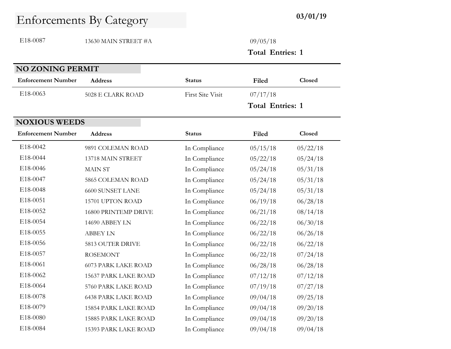E18-0087 13630 MAIN STREET #A 09/05/18

**Total Entries: 1**

| <b>NO ZONING PERMIT</b>   |                             |                         |                         |               |  |  |
|---------------------------|-----------------------------|-------------------------|-------------------------|---------------|--|--|
| <b>Enforcement Number</b> | <b>Address</b>              | <b>Status</b>           | Filed                   | <b>Closed</b> |  |  |
| E18-0063                  | 5028 E CLARK ROAD           | <b>First Site Visit</b> | 07/17/18                |               |  |  |
|                           |                             |                         | <b>Total Entries: 1</b> |               |  |  |
| <b>NOXIOUS WEEDS</b>      |                             |                         |                         |               |  |  |
| <b>Enforcement Number</b> | <b>Address</b>              | <b>Status</b>           | Filed                   | Closed        |  |  |
| E18-0042                  | 9891 COLEMAN ROAD           | In Compliance           | 05/15/18                | 05/22/18      |  |  |
| E18-0044                  | 13718 MAIN STREET           | In Compliance           | 05/22/18                | 05/24/18      |  |  |
| E18-0046                  | <b>MAIN ST</b>              | In Compliance           | 05/24/18                | 05/31/18      |  |  |
| E18-0047                  | 5865 COLEMAN ROAD           | In Compliance           | 05/24/18                | 05/31/18      |  |  |
| E18-0048                  | <b>6600 SUNSET LANE</b>     | In Compliance           | 05/24/18                | 05/31/18      |  |  |
| E18-0051                  | 15701 UPTON ROAD            | In Compliance           | 06/19/18                | 06/28/18      |  |  |
| E18-0052                  | 16800 PRINTEMP DRIVE        | In Compliance           | 06/21/18                | 08/14/18      |  |  |
| E18-0054                  | 14690 ABBEY LN              | In Compliance           | 06/22/18                | 06/30/18      |  |  |
| E18-0055                  | <b>ABBEY LN</b>             | In Compliance           | 06/22/18                | 06/26/18      |  |  |
| E18-0056                  | 5813 OUTER DRIVE            | In Compliance           | 06/22/18                | 06/22/18      |  |  |
| E18-0057                  | <b>ROSEMONT</b>             | In Compliance           | 06/22/18                | 07/24/18      |  |  |
| E18-0061                  | <b>6073 PARK LAKE ROAD</b>  | In Compliance           | 06/28/18                | 06/28/18      |  |  |
| E18-0062                  | 15637 PARK LAKE ROAD        | In Compliance           | 07/12/18                | 07/12/18      |  |  |
| E18-0064                  | 5760 PARK LAKE ROAD         | In Compliance           | 07/19/18                | 07/27/18      |  |  |
| E18-0078                  | <b>6438 PARK LAKE ROAD</b>  | In Compliance           | 09/04/18                | 09/25/18      |  |  |
| E18-0079                  | 15854 PARK LAKE ROAD        | In Compliance           | 09/04/18                | 09/20/18      |  |  |
| E18-0080                  | <b>15885 PARK LAKE ROAD</b> | In Compliance           | 09/04/18                | 09/20/18      |  |  |

E18-0084 15393 PARK LAKE ROAD In Compliance 09/04/18 09/04/18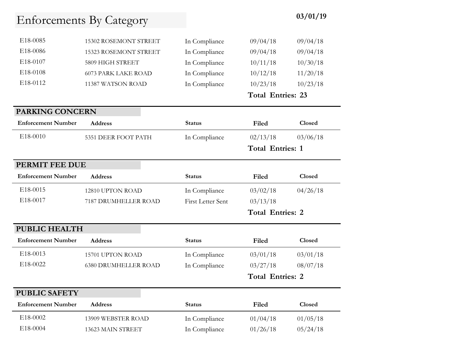| E <sub>18</sub> -0085 | 15302 ROSEMONT STREET      | In Compliance | 09/04/18 | 09/04/18 |
|-----------------------|----------------------------|---------------|----------|----------|
| E18-0086              | 15323 ROSEMONT STREET      | In Compliance | 09/04/18 | 09/04/18 |
| E <sub>18</sub> -0107 | 5809 HIGH STREET           | In Compliance | 10/11/18 | 10/30/18 |
| E <sub>18</sub> -0108 | <b>6073 PARK LAKE ROAD</b> | In Compliance | 10/12/18 | 11/20/18 |
| E <sub>18</sub> -0112 | 11387 WATSON ROAD          | In Compliance | 10/23/18 | 10/23/18 |
|                       |                            |               |          |          |

#### **Total Entries: 23**

#### **PARKING CONCERN**

| <b>Enforcement Number</b> | <b>Address</b>      | <b>Status</b> | Filed                   | <b>Closed</b> |  |
|---------------------------|---------------------|---------------|-------------------------|---------------|--|
| E <sub>18</sub> -0010     | 5351 DEER FOOT PATH | In Compliance | 02/13/18                | 03/06/18      |  |
|                           |                     |               | <b>Total Entries: 1</b> |               |  |

### **PERMIT FEE DUE**

PUBLIC SAFETY

| <b>Enforcement Number</b> | <b>Address</b>       | <b>Status</b>            | Filed    | <b>Closed</b> |
|---------------------------|----------------------|--------------------------|----------|---------------|
| E <sub>18</sub> -0015     | 12810 UPTON ROAD     | In Compliance            | 03/02/18 | 04/26/18      |
| E <sub>18</sub> -0017     | 7187 DRUMHELLER ROAD | <b>First Letter Sent</b> | 03/13/18 |               |
|                           |                      |                          | m m      |               |

#### **Total Entries: 2**

### **PUBLIC HEALTH Enforcement Number Address Status Filed Closed** E18-0013 15701 UPTON ROAD In Compliance 03/01/18 03/01/18 E18-0022 6380 DRUMHELLER ROAD In Compliance 03/27/18 08/07/18 **Total Entries: 2**

| 1 CD 11 CR1 1 1 1         |                    |               |          |               |  |
|---------------------------|--------------------|---------------|----------|---------------|--|
| <b>Enforcement Number</b> | <b>Address</b>     | <b>Status</b> | Filed    | <b>Closed</b> |  |
| E <sub>18</sub> -0002     | 13909 WEBSTER ROAD | In Compliance | 01/04/18 | 01/05/18      |  |
| E <sub>18</sub> -0004     | 13623 MAIN STREET  | In Compliance | 01/26/18 | 05/24/18      |  |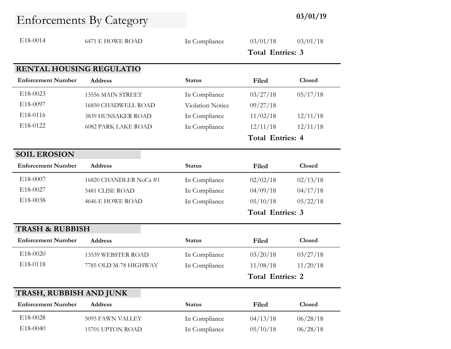| E18-0014                   | <b>6471 E HOWE ROAD</b>    | In Compliance    | 03/01/18                | 03/01/18      |
|----------------------------|----------------------------|------------------|-------------------------|---------------|
|                            |                            |                  | <b>Total Entries: 3</b> |               |
| RENTAL HOUSING REGULATIO   |                            |                  |                         |               |
| <b>Enforcement Number</b>  | <b>Address</b>             | <b>Status</b>    | Filed                   | <b>Closed</b> |
| E18-0023                   | 13556 MAIN STREET          | In Compliance    | 03/27/18                | 05/17/18      |
| E18-0097                   | 16850 CHADWELL ROAD        | Violation Notice | 09/27/18                |               |
| E18-0116                   | 3839 HUNSAKER ROAD         | In Compliance    | 11/02/18                | 12/11/18      |
| E18-0122                   | <b>6082 PARK LAKE ROAD</b> | In Compliance    | 12/11/18                | 12/11/18      |
|                            |                            |                  | <b>Total Entries: 4</b> |               |
| <b>SOIL EROSION</b>        |                            |                  |                         |               |
| <b>Enforcement Number</b>  | <b>Address</b>             | <b>Status</b>    | Filed                   | Closed        |
| E18-0007                   | 16820 CHANDLER NoCa #1     | In Compliance    | 02/02/18                | 02/13/18      |
| E18-0027                   | 5481 CLISE ROAD            | In Compliance    | 04/09/18                | 04/17/18      |
| E18-0038                   | 4646 E HOWE ROAD           | In Compliance    | 05/10/18                | 05/22/18      |
|                            |                            |                  | <b>Total Entries: 3</b> |               |
| <b>TRASH &amp; RUBBISH</b> |                            |                  |                         |               |
| <b>Enforcement Number</b>  | <b>Address</b>             | <b>Status</b>    | Filed                   | Closed        |
| E18-0020                   | 13539 WEBSTER ROAD         | In Compliance    | 03/20/18                | 03/27/18      |
| E18-0118                   | 7785 OLD M-78 HIGHWAY      | In Compliance    | 11/08/18                | 11/20/18      |
|                            |                            |                  | <b>Total Entries: 2</b> |               |

### **TRASH, RUBBISH AND JUNK**

| <b>Enforcement Number</b> | <b>Address</b>   | <b>Status</b> | Filed    | <b>Closed</b> |
|---------------------------|------------------|---------------|----------|---------------|
| E18-0028                  | 5095 FAWN VALLEY | In Compliance | 04/13/18 | 06/28/18      |
| E <sub>18</sub> -0040     | 15701 UPTON ROAD | In Compliance | 05/10/18 | 06/28/18      |